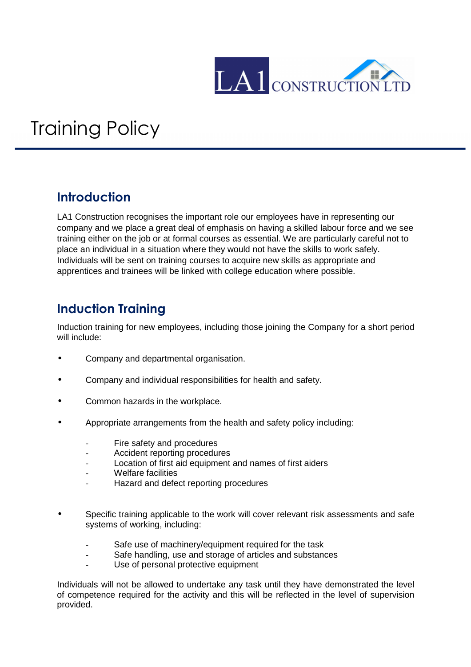

## Training Policy

## **Introduction**

LA1 Construction recognises the important role our employees have in representing our company and we place a great deal of emphasis on having a skilled labour force and we see training either on the job or at formal courses as essential. We are particularly careful not to place an individual in a situation where they would not have the skills to work safely. Individuals will be sent on training courses to acquire new skills as appropriate and apprentices and trainees will be linked with college education where possible.

## **Induction Training**

Induction training for new employees, including those joining the Company for a short period will include:

- Company and departmental organisation.
- Company and individual responsibilities for health and safety.
- Common hazards in the workplace.
- Appropriate arrangements from the health and safety policy including:
	- Fire safety and procedures
	- Accident reporting procedures
	- Location of first aid equipment and names of first aiders
	- Welfare facilities
	- Hazard and defect reporting procedures
- Specific training applicable to the work will cover relevant risk assessments and safe systems of working, including:
	- Safe use of machinery/equipment required for the task
	- Safe handling, use and storage of articles and substances
	- Use of personal protective equipment

Individuals will not be allowed to undertake any task until they have demonstrated the level of competence required for the activity and this will be reflected in the level of supervision provided.